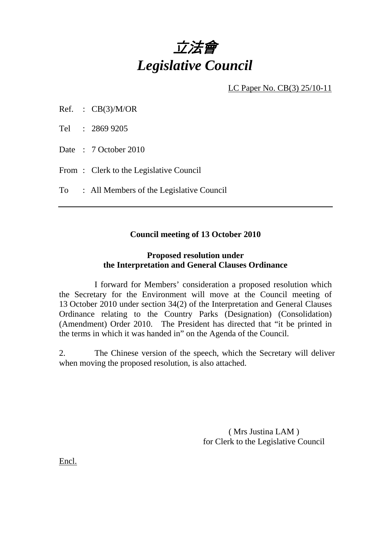

LC Paper No. CB(3) 25/10-11

- Ref. :  $CB(3)/M/OR$
- Tel : 2869 9205
- Date : 7 October 2010
- From: Clerk to the Legislative Council
- To : All Members of the Legislative Council

## **Council meeting of 13 October 2010**

## **Proposed resolution under the Interpretation and General Clauses Ordinance**

 I forward for Members' consideration a proposed resolution which the Secretary for the Environment will move at the Council meeting of 13 October 2010 under section 34(2) of the Interpretation and General Clauses Ordinance relating to the Country Parks (Designation) (Consolidation) (Amendment) Order 2010. The President has directed that "it be printed in the terms in which it was handed in" on the Agenda of the Council.

2. The Chinese version of the speech, which the Secretary will deliver when moving the proposed resolution, is also attached.

> ( Mrs Justina LAM ) for Clerk to the Legislative Council

Encl.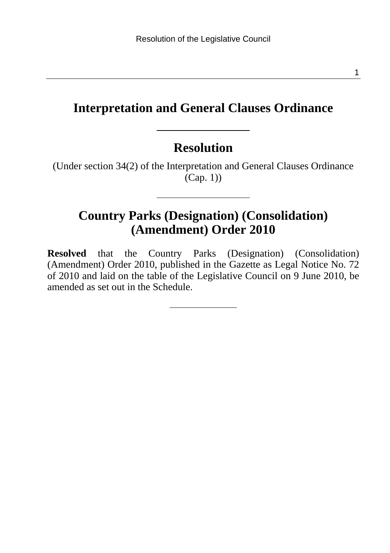## **Interpretation and General Clauses Ordinance**

#### **Resolution**

(Under section 34(2) of the Interpretation and General Clauses Ordinance  $(Cap. 1)$ 

## **Country Parks (Designation) (Consolidation) (Amendment) Order 2010**

**Resolved** that the Country Parks (Designation) (Consolidation) (Amendment) Order 2010, published in the Gazette as Legal Notice No. 72 of 2010 and laid on the table of the Legislative Council on 9 June 2010, be amended as set out in the Schedule.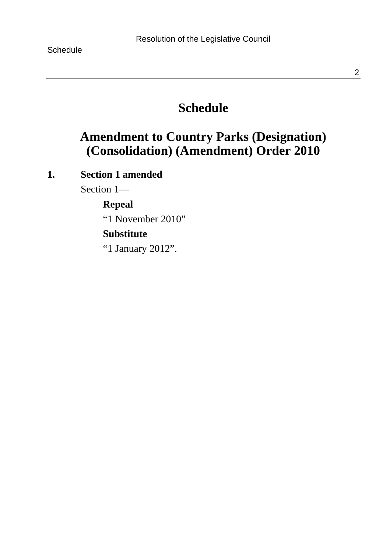## **Schedule**

## **Amendment to Country Parks (Designation) (Consolidation) (Amendment) Order 2010**

## **1. Section 1 amended**

Section 1—

#### **Repeal**

"1 November 2010"

### **Substitute**

"1 January 2012".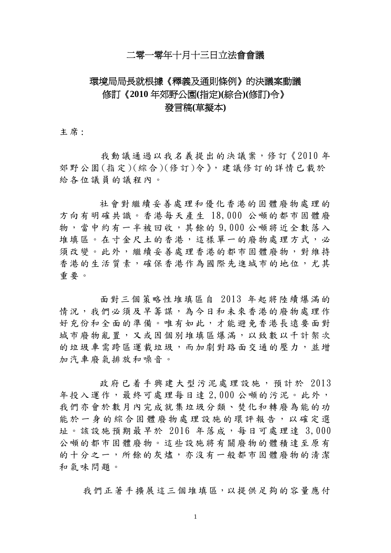## 二零一零年十月十三日立法會會議

# 環境局局長就根據《釋義及通則條例》的決議案動議 修訂《**2010** 年郊野公園**(**指定**)(**綜合**)(**修訂**)**令》 發言稿**(**草擬本**)**

主席:

我動議通過以我名義提出的決議案,修訂《2010年 郊野公園(指定)(綜合)(修訂)令》,建議修訂的詳情已載於 給各位議員的議程內。

社會對繼續妥善處理和優化香港的固體廢物處理的 方向有明確共識。香港每天產生 18,000 公噸的都市固體廢 物,當中約有一半被回收,其餘的 9,000 公噸將近全數落入 堆填區。在寸金尺土的香港,這樣單一的廢物處理方式,必 須改變。此外,繼續妥善處理香港的都市固體廢物,對維持 香港的生活質素,確保香港作為國際先進城市的地位,尤其 重要。

面對三個策略性堆填區自 2013 年起將陸續爆滿的 情況,我們必須及早籌謀,為今日和未來香港的廢物處理作 好充份和全面的準備。唯有如此,才能避免香港長遠要面對 城市廢物亂置,又或因個別堆填區爆滿,以致數以千計架次 的垃圾車需跨區運載垃圾,而加劇對路面交通的壓力,並增 加汽車廢氣排放和噪音。

政府已着手興建大型污泥處理設施,預計於 2013 年投入運作,最終可處理每日達 2,000 公噸的污泥。此外, 我們亦會於數月內完成就集垃圾分類、焚化和轉廢為能的功 能於一身的綜合固體廢物處理設施的環評報告,以確定選 址。該設施預期最早於 2016 年落成,每日可處理達 3,000 公噸的都市固體廢物。這些設施將有關廢物的體積達至原有 的十分之一,所餘的灰燼,亦沒有一般都市固體廢物的清潔 和氣味問題。

我們正著手擴展這三個堆填區,以提供足夠的容量應付

1